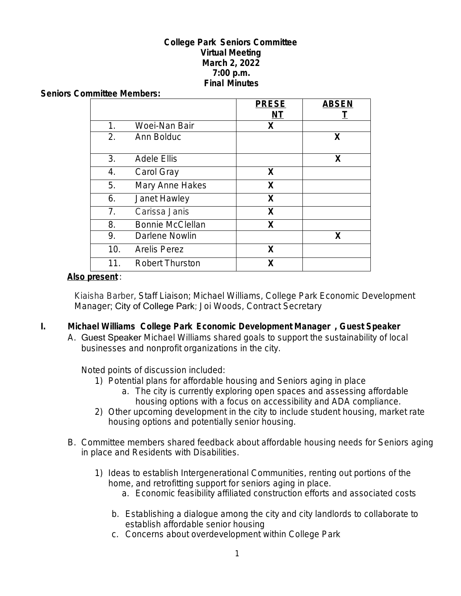#### **College Park Seniors Committee Virtual Meeting March 2, 2022 7:00 p.m. Final Minutes**

#### **Seniors Committee Members:**

|                |                         | <b>PRESE</b> | <b>ABSEN</b> |
|----------------|-------------------------|--------------|--------------|
|                |                         | NT           |              |
| 1.             | Woei-Nan Bair           | X            |              |
| 2.             | Ann Bolduc              |              | X            |
| 3.             | <b>Adele Ellis</b>      |              | X            |
| 4.             | Carol Gray              | X            |              |
| 5.             | Mary Anne Hakes         | X            |              |
| 6.             | Janet Hawley            | X            |              |
| 7 <sub>1</sub> | Carissa Janis           | X            |              |
| 8.             | <b>Bonnie McClellan</b> | X            |              |
| 9.             | Darlene Nowlin          |              | X            |
| 10.            | <b>Arelis Perez</b>     | X            |              |
| 11.            | <b>Robert Thurston</b>  | χ            |              |

#### **Also present** :

Kiaisha Barber, Staff Liaison; Michael Williams, College Park Economic Development Manager; City of College Park; Joi Woods, Contract Secretary

- **I. Michael Williams College Park Economic Development Manager , Guest Speaker**
	- A. Guest Speaker Michael Williams shared goals to support the sustainability of local businesses and nonprofit organizations in the city.

Noted points of discussion included:

- 1) Potential plans for affordable housing and Seniors aging in place
	- a. The city is currently exploring open spaces and assessing affordable housing options with a focus on accessibility and ADA compliance.
- 2) Other upcoming development in the city to include student housing, market rate housing options and potentially senior housing.
- B. Committee members shared feedback about affordable housing needs for Seniors aging in place and Residents with Disabilities.
	- 1) Ideas to establish Intergenerational Communities, renting out portions of the home, and retrofitting support for seniors aging in place.
		- a. Economic feasibility affiliated construction efforts and associated costs
		- b. Establishing a dialogue among the city and city landlords to collaborate to establish affordable senior housing
		- c. Concerns about overdevelopment within College Park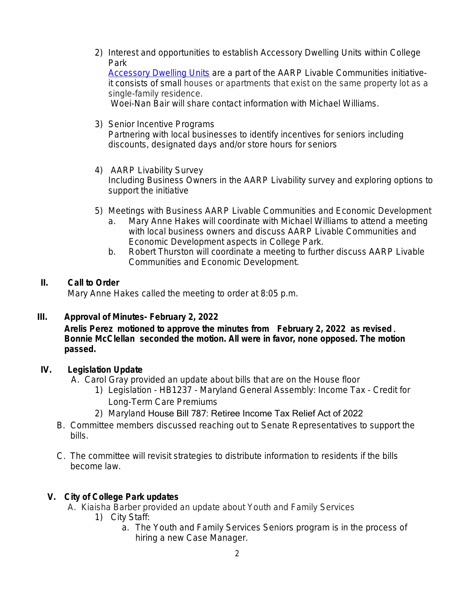2) Interest and opportunities to establish Accessory Dwelling Units within College Park [Accessory Dwelling Units](https://www.aarp.org/livable-communities/housing/info-2019/accessory-dwelling-units-adus.html) are a part of the AARP Livable Communities initiativeit consists of small houses or apartments that exist on the same property lot as a

single-family residence. Woei-Nan Bair will share contact information with Michael Williams.

- 3) Senior Incentive Programs Partnering with local businesses to identify incentives for seniors including discounts, designated days and/or store hours for seniors
- 4) AARP Livability Survey Including Business Owners in the AARP Livability survey and exploring options to support the initiative
- 5) Meetings with Business AARP Livable Communities and Economic Development
	- a. Mary Anne Hakes will coordinate with Michael Williams to attend a meeting with local business owners and discuss AARP Livable Communities and Economic Development aspects in College Park.
	- b. Robert Thurston will coordinate a meeting to further discuss AARP Livable Communities and Economic Development.

### **II. Call to Order**

Mary Anne Hakes called the meeting to order at 8:05 p.m.

#### **III. Approval of Minutes- February 2, 2022**

**Arelis Perez motioned to approve the minutes from February 2, 2022 as revised** . **Bonnie McClellan seconded the motion. All were in favor, none opposed. The motion passed.**

# **IV. Legislation Update**

A. Carol Gray provided an update about bills that are on the House floor

- 1) Legislation HB1237 Maryland General Assembly: Income Tax Credit for Long-Term Care Premiums
- 2) Maryland House Bill 787: Retiree Income Tax Relief Act of 2022
- B. Committee members discussed reaching out to Senate Representatives to support the bills.
- C. The committee will revisit strategies to distribute information to residents if the bills become law.

# **V. City of College Park updates**

- A. Kiaisha Barber provided an update about Youth and Family Services
	- 1) City Staff:
		- a. The Youth and Family Services Seniors program is in the process of hiring a new Case Manager.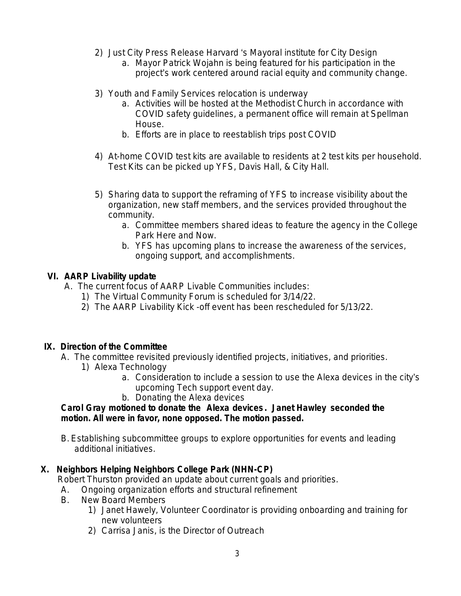- 2) Just City Press Release Harvard 's Mayoral institute for City Design
	- a. Mayor Patrick Wojahn is being featured for his participation in the project's work centered around racial equity and community change.
- 3) Youth and Family Services relocation is underway
	- a. Activities will be hosted at the Methodist Church in accordance with COVID safety guidelines, a permanent office will remain at Spellman House.
	- b. Efforts are in place to reestablish trips post COVID
- 4) At-home COVID test kits are available to residents at 2 test kits per household. Test Kits can be picked up YFS, Davis Hall, & City Hall.
- 5) Sharing data to support the reframing of YFS to increase visibility about the organization, new staff members, and the services provided throughout the community.
	- a. Committee members shared ideas to feature the agency in the College Park Here and Now.
	- b. YFS has upcoming plans to increase the awareness of the services, ongoing support, and accomplishments.

# **VI. AARP Livability update**

- A. The current focus of AARP Livable Communities includes:
	- 1) The Virtual Community Forum is scheduled for 3/14/22.
	- 2) The AARP Livability Kick -off event has been rescheduled for 5/13/22.

# **IX. Direction of the Committee**

- A. The committee revisited previously identified projects, initiatives, and priorities.
	- 1) Alexa Technology
		- a. Consideration to include a session to use the Alexa devices in the city's upcoming Tech support event day.
		- b. Donating the Alexa devices

### **Carol Gray motioned to donate the Alexa devices . Janet Hawley seconded the motion. All were in favor, none opposed. The motion passed.**

B. Establishing subcommittee groups to explore opportunities for events and leading additional initiatives.

# **X. Neighbors Helping Neighbors College Park (NHN-CP)**

Robert Thurston provided an update about current goals and priorities.

- A. Ongoing organization efforts and structural refinement
- B. New Board Members
	- 1) Janet Hawely, Volunteer Coordinator is providing onboarding and training for new volunteers
	- 2) Carrisa Janis, is the Director of Outreach